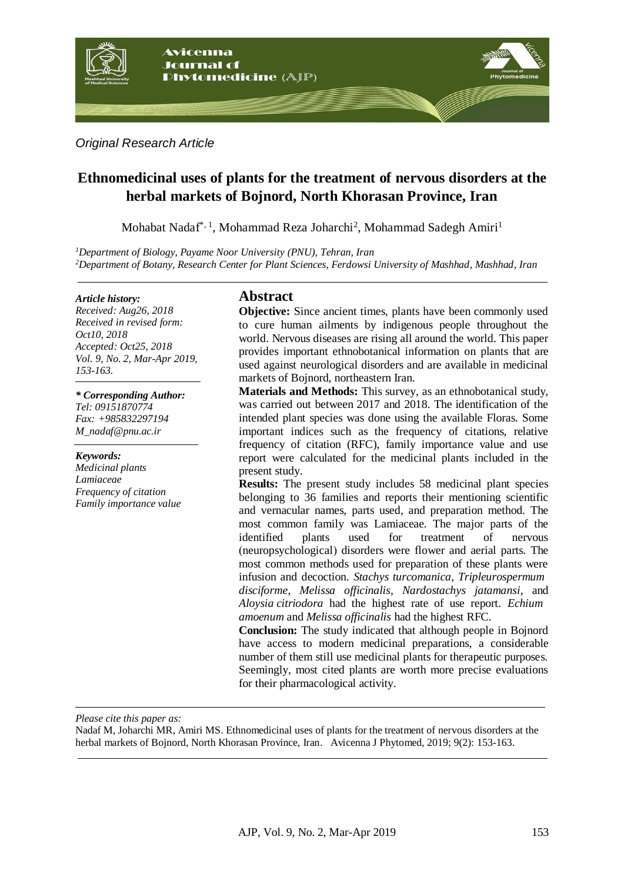

*Original Research Article*

# **[Ethnomedicinal uses of plants for the treatment of n](http://scholar.google.com/scholar_url?url=https%3A%2F%2Fwww.sciencedirect.com%2Fscience%2Farticle%2Fpii%2FS037887411500197X&hl=en&sa=T&ct=res&cd=3&d=7815448820957596441&ei=LVpcW6r5IoSUmgH_yZSwAg&scisig=AAGBfm01OCMHtbhjeBKfMRXHTp121p1Rvg&nossl=1&ws=1183x517)ervous disorders at the herbal markets of Bojnord, North Khorasan Province, Iran**

Mohabat Nadaf\*<sup>, 1</sup>, Mohammad Reza Joharchi<sup>2</sup>, Mohammad Sadegh Amiri<sup>1</sup>

*<sup>1</sup>Department of Biology, Payame Noor University (PNU), Tehran, Iran <sup>2</sup>Department of Botany, Research Center for Plant Sciences, Ferdowsi University of Mashhad, Mashhad, Iran*

#### *Article history:*

*Received: Aug26, 2018 Received in revised form: Oct10, 2018 Accepted: Oct25, 2018 Vol. 9, No. 2, Mar-Apr 2019, 153-163.*

*\* Corresponding Author: Tel: 09151870774 Fax: +985832297194 [M\\_nadaf@pnu.ac.ir](mailto:M_nadaf@pnu.ac.ir)*

*Keywords: Medicinal plants Lamiaceae Frequency of citation Family importance value*

# **Abstract**

**Objective:** Since ancient times, plants have been commonly used to cure human ailments by indigenous people throughout the world. Nervous diseases are rising all around the world. This paper provides important ethnobotanical information on plants that are used against neurological disorders and are available in medicinal markets of Bojnord, northeastern Iran.

**Materials and Methods:** This survey, as an ethnobotanical study, was carried out between 2017 and 2018. The identification of the intended plant species was done using the available Floras. Some important indices such as the frequency of citations, relative frequency of citation (RFC), family importance value and use report were calculated for the medicinal plants included in the present study.

**Results:** The present study includes 58 medicinal plant species belonging to 36 families and reports their mentioning scientific and vernacular names, parts used, and preparation method. The most common family was Lamiaceae. The major parts of the identified plants used for treatment of nervous (neuropsychological) disorders were flower and aerial parts. The most common methods used for preparation of these plants were infusion and decoction. *Stachys turcomanica*, *Tripleurospermum disciforme*, *Melissa officinalis*, *Nardostachys jatamansi*, and *Aloysia citriodora* had the highest rate of use report. *Echium amoenum* and *Melissa officinalis* had the highest RFC.

**Conclusion:** The study indicated that although people in Bojnord have access to modern medicinal preparations, a considerable number of them still use medicinal plants for therapeutic purposes. Seemingly, most cited plants are worth more precise evaluations for their pharmacological activity.

*Please cite this paper as:* 

Nadaf M, Joharchi MR, Amiri MS[.](http://scholar.google.com/scholar_url?url=https%3A%2F%2Fwww.sciencedirect.com%2Fscience%2Farticle%2Fpii%2FS037887411500197X&hl=en&sa=T&ct=res&cd=3&d=7815448820957596441&ei=LVpcW6r5IoSUmgH_yZSwAg&scisig=AAGBfm01OCMHtbhjeBKfMRXHTp121p1Rvg&nossl=1&ws=1183x517) [Ethnomedicinal uses of plants for the treatment of n](http://scholar.google.com/scholar_url?url=https%3A%2F%2Fwww.sciencedirect.com%2Fscience%2Farticle%2Fpii%2FS037887411500197X&hl=en&sa=T&ct=res&cd=3&d=7815448820957596441&ei=LVpcW6r5IoSUmgH_yZSwAg&scisig=AAGBfm01OCMHtbhjeBKfMRXHTp121p1Rvg&nossl=1&ws=1183x517)ervous disorders at the herbal markets of Bojnord, North Khorasan Province, Iran. Avicenna J Phytomed, 2019; 9(2): 153-163.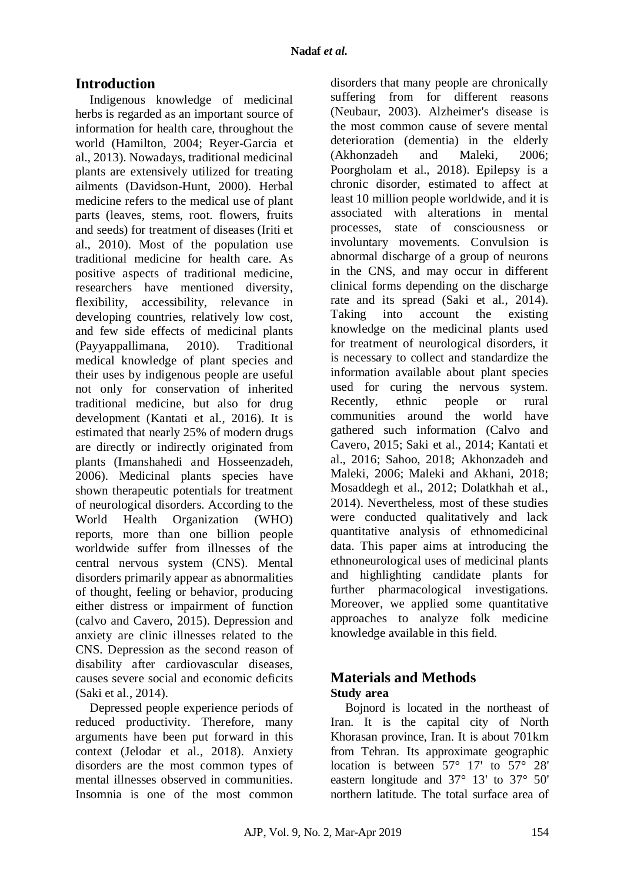# **Introduction**

Indigenous knowledge of medicinal herbs is regarded as an important source of information for health care, throughout the world (Hamilton, 2004; Reyer-Garcia et al., 2013). Nowadays, traditional medicinal plants are extensively utilized for treating ailments (Davidson-Hunt, 2000). Herbal medicine refers to the medical use of plant parts (leaves, stems, root. flowers, fruits and seeds) for treatment of diseases (Iriti et al., 2010). Most of the population use traditional medicine for health care. As positive aspects of traditional medicine, researchers have mentioned diversity, flexibility, accessibility, relevance in developing countries, relatively low cost, and few side effects of medicinal plants (Payyappallimana, 2010). Traditional medical knowledge of plant species and their uses by indigenous people are useful not only for conservation of inherited traditional medicine, but also for drug development (Kantati et al., 2016). It is estimated that nearly 25% of modern drugs are directly or indirectly originated from plants (Imanshahedi and Hosseenzadeh, 2006). Medicinal plants species have shown therapeutic potentials for treatment of neurological disorders. According to the World Health Organization (WHO) reports, more than one billion people worldwide suffer from illnesses of the central nervous system (CNS). Mental disorders primarily appear as abnormalities of thought, feeling or behavior, producing either distress or impairment of function (calvo and Cavero, 2015). Depression and anxiety are clinic illnesses related to the CNS. Depression as the second reason of disability after cardiovascular diseases, causes severe social and economic deficits (Saki et al., 2014).

Depressed people experience periods of reduced productivity. Therefore, many arguments have been put forward in this context (Jelodar et al., 2018). Anxiety disorders are the most common types of mental illnesses observed in communities. Insomnia is one of the most common

disorders that many people are chronically suffering from for different reasons (Neubaur, 2003). Alzheimer's disease is the most common cause of severe mental deterioration (dementia) in the elderly (Akhonzadeh and Maleki, 2006; Poorgholam et al., 2018). Epilepsy is a chronic disorder, estimated to affect at least 10 million people worldwide, and it is associated with alterations in mental processes, state of consciousness or involuntary movements. Convulsion is abnormal discharge of a group of neurons in the CNS, and may occur in different clinical forms depending on the discharge rate and its spread (Saki et al., 2014). Taking into account the existing knowledge on the medicinal plants used for treatment of neurological disorders, it is necessary to collect and standardize the information available about plant species used for curing the nervous system. Recently, ethnic people or rural communities around the world have gathered such information (Calvo and Cavero, 2015; Saki et al., 2014; Kantati et al., 2016; Sahoo, 2018; Akhonzadeh and Maleki, 2006; Maleki and Akhani, 2018; Mosaddegh et al., 2012; Dolatkhah et al., 2014). Nevertheless, most of these studies were conducted qualitatively and lack quantitative analysis of ethnomedicinal data. This paper aims at introducing the ethnoneurological uses of medicinal plants and highlighting candidate plants for further pharmacological investigations. Moreover, we applied some quantitative approaches to analyze folk medicine knowledge available in this field.

# **Materials and Methods Study area**

Bojnord is located in the northeast of Iran. It is the capital city of [North](https://en.wikipedia.org/wiki/North_Khorasan)  [Khorasan](https://en.wikipedia.org/wiki/North_Khorasan) province, [Iran.](https://en.wikipedia.org/wiki/Iran) It is about 701km from [Tehran.](https://en.wikipedia.org/wiki/Tehran) Its approximate geographic location is between 57° 17' to 57° 28' eastern longitude and 37° 13' to 37° 50' northern latitude. The total surface area of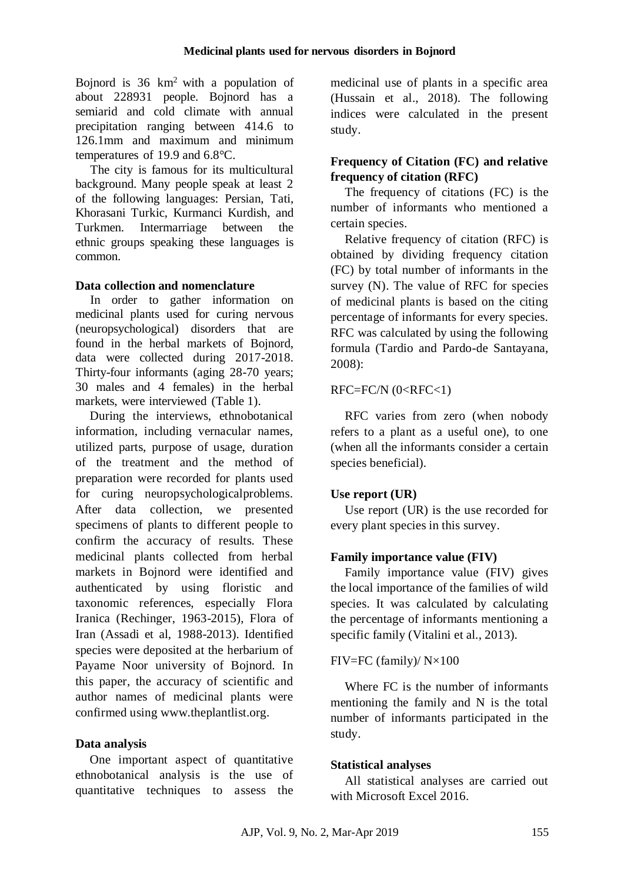Bojnord is  $36 \text{ km}^2$  with a population of about 228931 people. Bojnord has a semiarid and cold climate with annual precipitation ranging between 414.6 to 126.1mm and maximum and minimum temperatures of 19.9 and 6.8°C.

The city is famous for its multicultural background. Many people speak at least 2 of the following languages: [Persian,](https://en.wikipedia.org/wiki/Persian_language) [Tati,](https://en.wikipedia.org/wiki/Tati_language_(Iran)) [Khorasani Turkic,](https://en.wikipedia.org/wiki/Khorasani_Turkic_language) [Kurmanci Kurdish,](https://en.wikipedia.org/wiki/Northern_Kurdish) and [Turkmen.](https://en.wikipedia.org/wiki/Turkmen_language) Intermarriage between the ethnic groups speaking these languages is common.

# **Data collection and nomenclature**

In order to gather information on medicinal plants used for curing nervous (neuropsychological) disorders that are found in the herbal markets of Bojnord, data were collected during 2017-2018. Thirty-four informants (aging 28-70 years; 30 males and 4 females) in the herbal markets, were interviewed (Table 1).

During the interviews, ethnobotanical information, including vernacular names, utilized parts, purpose of usage, duration of the treatment and the method of preparation were recorded for plants used for curing neuropsychologicalproblems. After data collection, we presented specimens of plants to different people to confirm the accuracy of results. These medicinal plants collected from herbal markets in Bojnord were identified and authenticated by using floristic and taxonomic references, especially Flora Iranica (Rechinger, 1963-2015), Flora of Iran (Assadi et al, 1988-2013). Identified species were deposited at the herbarium of Payame Noor university of Bojnord. In this paper, the accuracy of scientific and author names of medicinal plants were confirmed using www.theplantlist.org.

### **Data analysis**

One important aspect of quantitative ethnobotanical analysis is the use of quantitative techniques to assess the medicinal use of plants in a specific area (Hussain et al., 2018). The following indices were calculated in the present study.

# **Frequency of Citation (FC) and relative frequency of citation (RFC)**

The frequency of citations (FC) is the number of informants who mentioned a certain species.

Relative frequency of citation (RFC) is obtained by dividing frequency citation (FC) by total number of informants in the survey (N). The value of RFC for species of medicinal plants is based on the citing percentage of informants for every species. RFC was calculated by using the following formula (Tardio and Pardo-de Santayana, 2008):

# $RFC=FC/N$  ( $0 < RFC < 1$ )

RFC varies from zero (when nobody refers to a plant as a useful one), to one (when all the informants consider a certain species beneficial).

### **Use report (UR)**

Use report (UR) is the use recorded for every plant species in this survey.

### **Family importance value (FIV)**

Family importance value (FIV) gives the local importance of the families of wild species. It was calculated by calculating the percentage of informants mentioning a specific family (Vitalini et al., 2013).

### FIV=FC (family)/ N×100

Where FC is the number of informants mentioning the family and N is the total number of informants participated in the study.

### **Statistical analyses**

All statistical analyses are carried out with Microsoft Excel 2016.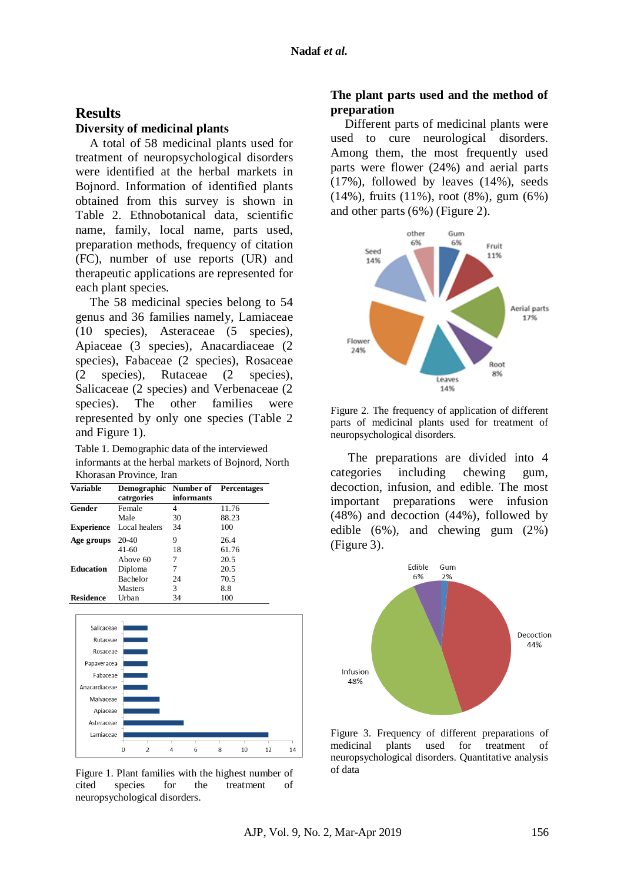# **Results**

#### **Diversity of medicinal plants**

A total of 58 medicinal plants used for treatment of neuropsychological disorders were identified at the herbal markets in Bojnord. Information of identified plants obtained from this survey is shown in Table 2. Ethnobotanical data, scientific name, family, local name, parts used, preparation methods, frequency of citation (FC), number of use reports (UR) and therapeutic applications are represented for each plant species.

The 58 medicinal species belong to 54 genus and 36 families namely, Lamiaceae (10 species), Asteraceae (5 species), Apiaceae (3 species), Anacardiaceae (2 species), Fabaceae (2 species), Rosaceae (2 species), Rutaceae (2 species), Salicaceae (2 species) and Verbenaceae (2 species). The other families were represented by only one species (Table 2 and Figure 1).

Table 1. Demographic data of the interviewed informants at the herbal markets of Bojnord, North Khorasan Province, Iran

| <b>Variable</b>   | Demographic Number of Percentages<br>catrgories | informants |       |
|-------------------|-------------------------------------------------|------------|-------|
| Gender            | Female                                          | 4          | 11.76 |
|                   | Male                                            | 30         | 88.23 |
| <b>Experience</b> | Local healers                                   | 34         | 100   |
| Age groups        | 20-40                                           | 9          | 26.4  |
|                   | $41 - 60$                                       | 18         | 61.76 |
|                   | Above 60                                        | 7          | 20.5  |
| <b>Education</b>  | Diploma                                         | 7          | 20.5  |
|                   | Bachelor                                        | 24         | 70.5  |
|                   | <b>Masters</b>                                  | 3          | 8.8   |
| <b>Residence</b>  | Urban                                           | 34         | 100   |



Figure 1. Plant families with the highest number of cited species for the treatment of neuropsychological disorders.

# **The plant parts used and the method of preparation**

Different parts of medicinal plants were used to cure neurological disorders. Among them, the most frequently used parts were flower (24%) and aerial parts (17%), followed by leaves (14%), seeds (14%), fruits (11%), root (8%), gum (6%) and other parts (6%) (Figure 2).



Figure 2. The frequency of application of different parts of medicinal plants used for treatment of neuropsychological disorders.

The preparations are divided into 4 categories including chewing gum, decoction, infusion, and edible. The most important preparations were infusion (48%) and decoction (44%), followed by edible (6%), and chewing gum (2%) (Figure 3).



Figure 3. Frequency of different preparations of medicinal plants used for treatment of neuropsychological disorders. Quantitative analysis of data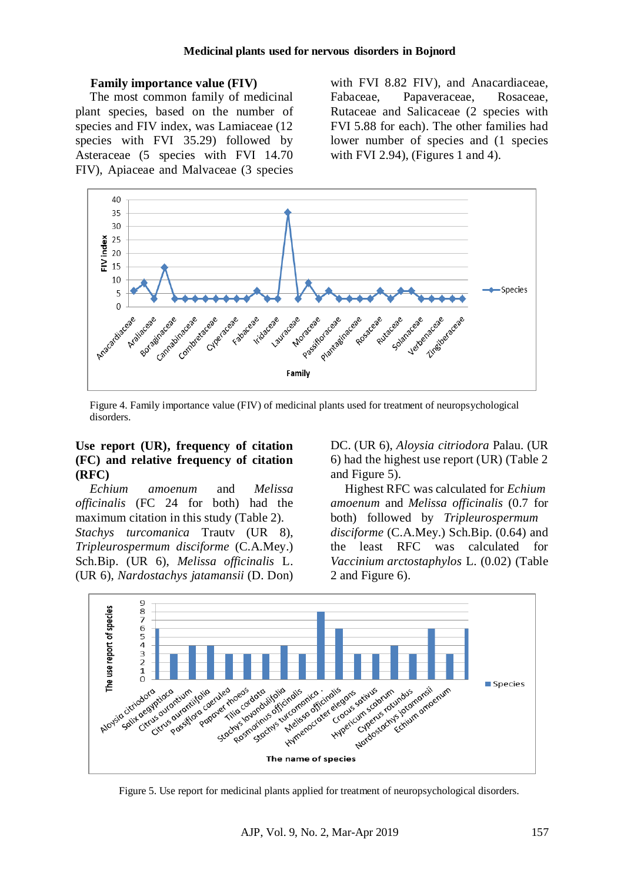#### **Family importance value (FIV)**

The most common family of medicinal plant species, based on the number of species and FIV index, was Lamiaceae (12 species with FVI 35.29) followed by Asteraceae (5 species with FVI 14.70 FIV), Apiaceae and Malvaceae (3 species

with FVI 8.82 FIV), and Anacardiaceae, Fabaceae, Papaveraceae, Rosaceae, Rutaceae and Salicaceae (2 species with FVI 5.88 for each). The other families had lower number of species and (1 species with FVI 2.94), (Figures 1 and 4).



Figure 4. Family importance value (FIV) of medicinal plants used for treatment of neuropsychological disorders.

### **Use report (UR), frequency of citation (FC) and relative frequency of citation (RFC)**

*Echium amoenum* and *Melissa officinalis* (FC 24 for both) had the maximum citation in this study (Table 2). *Stachys turcomanica* Trautv (UR 8), *Tripleurospermum disciforme* (C.A.Mey.) Sch.Bip. (UR 6), *Melissa officinalis* L. (UR 6), *Nardostachys jatamansii* (D. Don)

DC. (UR 6), *Aloysia citriodora* Palau*.* (UR 6) had the highest use report (UR) (Table 2 and Figure 5).

Highest RFC was calculated for *Echium amoenum* and *Melissa officinalis* (0.7 for both) followed by *Tripleurospermum disciforme* (C.A.Mey.) Sch.Bip. (0.64) and the least RFC was calculated for *Vaccinium arctostaphylos* L. (0.02) (Table 2 and Figure 6).



Figure 5. Use report for medicinal plants applied for treatment of neuropsychological disorders.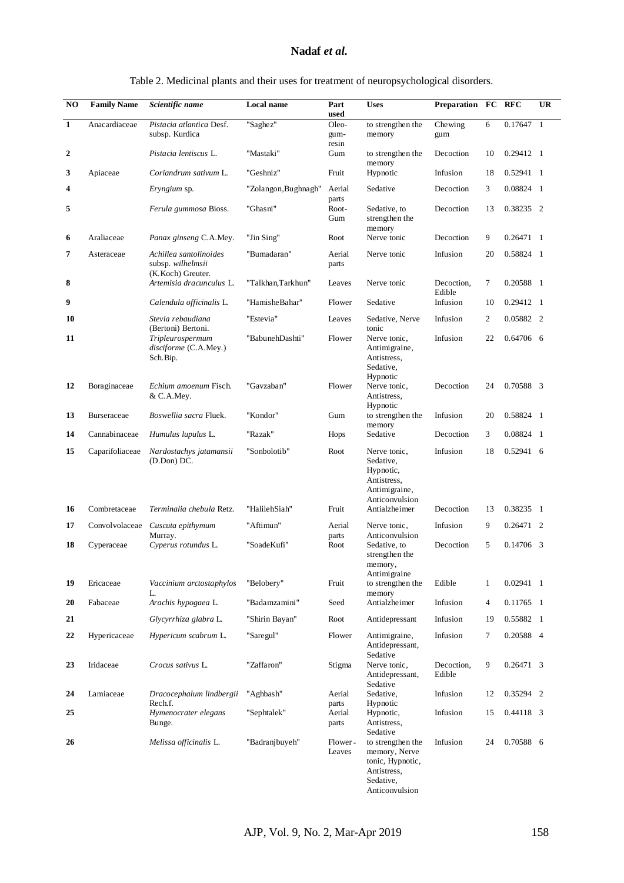#### **Nadaf** *et al.*

|                  |                    | Table 2. Medicinal plants and their uses for treatment of neuropsychological disorders. |                      |                               |                                                                                          |                      |    |                   |                |
|------------------|--------------------|-----------------------------------------------------------------------------------------|----------------------|-------------------------------|------------------------------------------------------------------------------------------|----------------------|----|-------------------|----------------|
| NO               | <b>Family Name</b> | Scientific name                                                                         | <b>Local name</b>    | Part<br>used                  | <b>Uses</b>                                                                              | Preparation FC RFC   |    |                   | <b>UR</b>      |
| $\mathbf{1}$     | Anacardiaceae      | Pistacia atlantica Desf.<br>subsp. Kurdica                                              | "Saghez"             | Oleo-<br>gum-<br>resin        | to strengthen the<br>memory                                                              | Chewing<br>gum       | 6  | 0.17647           | $\overline{1}$ |
| $\boldsymbol{2}$ |                    | Pistacia lentiscus L.                                                                   | "Mastaki"            | Gum                           | to strengthen the<br>memory                                                              | Decoction            | 10 | 0.29412 1         |                |
| 3                | Apiaceae           | Coriandrum sativum L.                                                                   | "Geshniz"            | Fruit                         | Hypnotic                                                                                 | Infusion             | 18 | $0.52941$ 1       |                |
| 4                |                    | Eryngium sp.                                                                            | "Zolangon, Bughnagh" | Aerial<br>parts               | Sedative                                                                                 | Decoction            | 3  | 0.08824 1         |                |
| 5                |                    | Ferula gummosa Bioss.                                                                   | "Ghasni"             | Root-<br>$\operatorname{Gum}$ | Sedative, to<br>strengthen the<br>memory                                                 | Decoction            | 13 | 0.38235 2         |                |
| 6                | Araliaceae         | Panax ginseng C.A.Mey.                                                                  | "Jin Sing"           | Root                          | Nerve tonic                                                                              | Decoction            | 9  | $0.26471 \quad 1$ |                |
| 7                | Asteraceae         | Achillea santolinoides<br>subsp. wilhelmsii<br>(K. Koch) Greuter.                       | "Bumadaran"          | Aerial<br>parts               | Nerve tonic                                                                              | Infusion             | 20 | 0.58824 1         |                |
| 8                |                    | Artemisia dracunculus L.                                                                | "Talkhan,Tarkhun"    | Leaves                        | Nerve tonic                                                                              | Decoction,<br>Edible | 7  | 0.20588 1         |                |
| 9                |                    | Calendula officinalis L.                                                                | "HamisheBahar"       | Flower                        | Sedative                                                                                 | Infusion             | 10 | 0.29412 1         |                |
| 10               |                    | Stevia rebaudiana<br>(Bertoni) Bertoni.                                                 | "Estevia"            | Leaves                        | Sedative, Nerve<br>tonic                                                                 | Infusion             | 2  | 0.05882 2         |                |
| 11               |                    | Tripleurospermum<br>disciforme (C.A.Mey.)<br>Sch. Bip.                                  | "BabunehDashti"      | Flower                        | Nerve tonic,<br>Antimigraine,<br>Antistress,<br>Sedative,<br>Hypnotic                    | Infusion             | 22 | 0.64706 6         |                |
| 12               | Boraginaceae       | Echium amoenum Fisch.<br>& C.A.Mey.                                                     | "Gavzaban"           | Flower                        | Nerve tonic,<br>Antistress,<br>Hypnotic                                                  | Decoction            | 24 | 0.70588 3         |                |
| 13               | <b>Burseraceae</b> | <i>Boswellia sacra Fluek.</i>                                                           | "Kondor"             | Gum                           | to strengthen the<br>memory                                                              | Infusion             | 20 | 0.58824 1         |                |
| 14               | Cannabinaceae      | Humulus lupulus L.                                                                      | "Razak"              | Hops                          | Sedative                                                                                 | Decoction            | 3  | 0.08824 1         |                |
| 15               | Caparifoliaceae    | Nardostachys jatamansii<br>(D.Don) DC.                                                  | "Sonbolotib"         | Root                          | Nerve tonic,<br>Sedative,<br>Hypnotic,<br>Antistress,<br>Antimigraine,<br>Anticonvulsion | Infusion             | 18 | 0.52941 6         |                |
| 16               | Combretaceae       | Terminalia chebula Retz.                                                                | "HalilehSiah"        | Fruit                         | Antialzheimer                                                                            | Decoction            | 13 | 0.38235 1         |                |
| 17               |                    | Convolvolaceae Cuscuta epithymum<br>Murray.                                             | "Aftimun"            | Aerial<br>parts               | Nerve tonic,<br>Anticonvulsion                                                           | Infusion             | 9  | $0.26471$ 2       |                |
| 18               | Cyperaceae         | Cyperus rotundus L.                                                                     | "SoadeKufi"          | Root                          | Sedative, to<br>strengthen the<br>memory,<br>Antimigraine                                | Decoction            | 5  | 0.14706 3         |                |
| 19               | Ericaceae          | Vaccinium arctostaphylos<br>L.                                                          | "Belobery"           | Fruit                         | to strengthen the<br>memory                                                              | Edible               | 1  | $0.02941$ 1       |                |
| 20               | Fabaceae           | Arachis hypogaea L.                                                                     | "Badamzamini"        | Seed                          | Antialzheimer                                                                            | Infusion             | 4  | 0.11765 1         |                |
| 21               |                    | Glycyrrhiza glabra L.                                                                   | "Shirin Bayan"       | Root                          | Antidepressant                                                                           | Infusion             | 19 | 0.55882 1         |                |
| 22               | Hypericaceae       | Hypericum scabrum L.                                                                    | "Saregul"            | Flower                        | Antimigraine,<br>Antidepressant,<br>Sedative                                             | Infusion             | 7  | 0.20588 4         |                |
| 23               | Iridaceae          | Crocus sativus L.                                                                       | "Zaffaron"           | Stigma                        | Nerve tonic,                                                                             | Decoction,           | 9  | 0.26471 3         |                |

parts<br>Aerial

parts

Leaves

"Aghbash" Aerial

"Sephtalek"

**26** *Melissa officinalis* L. "Badranjbuyeh" Flower ـ

**24** Lamiaceae *Dracocephalum lindbergii* Rech.f.

**25** *Hymenocrater elegans* Bunge.

Antidepressant, Sedative

to strengthen the memory, Nerve tonic, Hypnotic, Antistress, Sedative, Anticonvulsion

Sedative, Hypnotic

Hypnotic, Antistress, Sedative

Edible

Infusion 12 0.35294 2

Infusion 15 0.44118 3

Infusion 24 0.70588 6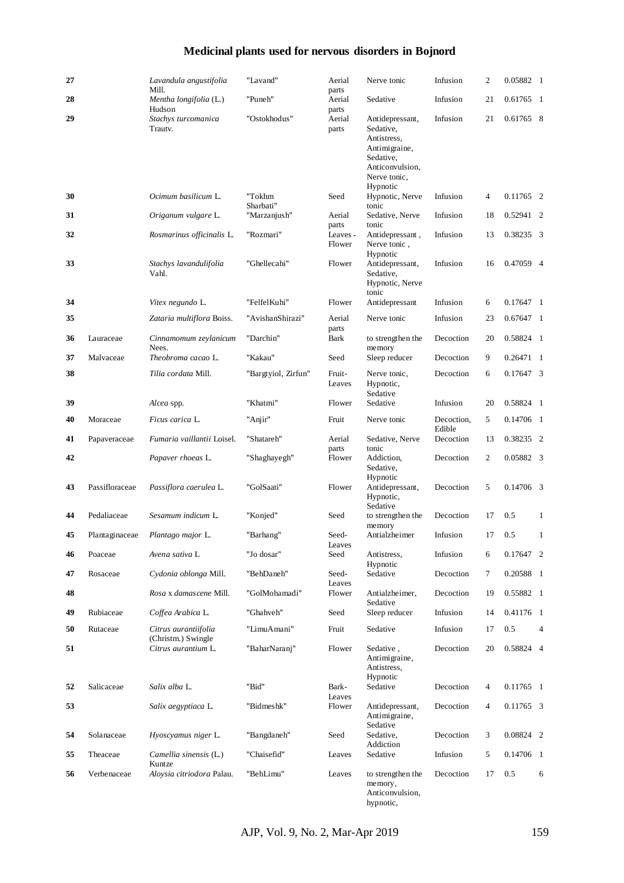# **Medicinal plants used for nervous disorders in Bojnord**

| 27 |                | Lavandula angustifolia                     | "Lavand"            | Aerial                   | Nerve tonic                                                                                                              | Infusion             | 2  | 0.05882 1   |                |
|----|----------------|--------------------------------------------|---------------------|--------------------------|--------------------------------------------------------------------------------------------------------------------------|----------------------|----|-------------|----------------|
| 28 |                | Mill.<br>Mentha longifolia (L.)            | "Puneh"             | parts<br>Aerial          | Sedative                                                                                                                 | Infusion             | 21 | 0.61765 1   |                |
| 29 |                | Hudson<br>Stachys turcomanica<br>Trautv.   | "Ostokhodus"        | parts<br>Aerial<br>parts | Antidepressant,<br>Sedative,<br>Antistress,<br>Antimigraine,<br>Sedative,<br>Anticonvulsion,<br>Nerve tonic,<br>Hypnotic | Infusion             | 21 | 0.61765 8   |                |
| 30 |                | Ocimum basilicum L.                        | "Tokhm<br>Sharbati" | Seed                     | Hypnotic, Nerve<br>tonic                                                                                                 | Infusion             | 4  | 0.11765 2   |                |
| 31 |                | Origanum vulgare L.                        | "Marzanjush"        | Aerial<br>parts          | Sedative, Nerve<br>tonic                                                                                                 | Infusion             | 18 | 0.52941 2   |                |
| 32 |                | Rosmarinus officinalis L.                  | "Rozmari"           | Leaves -<br>Flower       | Antidepressant,<br>Nerve tonic,<br>Hypnotic                                                                              | Infusion             | 13 | 0.38235 3   |                |
| 33 |                | Stachys lavandulifolia<br>Vahl.            | "Ghellecahi"        | Flower                   | Antidepressant,<br>Sedative,<br>Hypnotic, Nerve<br>tonic                                                                 | Infusion             | 16 | 0.47059 4   |                |
| 34 |                | Vitex negundo L.                           | "FelfelKuhi"        | Flower                   | Antidepressant                                                                                                           | Infusion             | 6  | 0.17647 1   |                |
| 35 |                | Zataria multiflora Boiss.                  | "AvishanShirazi"    | Aerial<br>parts          | Nerve tonic                                                                                                              | Infusion             | 23 | $0.67647$ 1 |                |
| 36 | Lauraceae      | Cinnamomum zeylanicum<br>Nees.             | "Darchin"           | Bark                     | to strengthen the<br>memory                                                                                              | Decoction            | 20 | 0.58824 1   |                |
| 37 | Malvaceae      | Theobroma cacao L.                         | "Kakau"             | Seed                     | Sleep reducer                                                                                                            | Decoction            | 9  | $0.26471$ 1 |                |
| 38 |                | Tilia cordata Mill.                        | "Bargtyiol, Zirfun" | Fruit-<br>Leaves         | Nerve tonic,<br>Hypnotic,<br>Sedative                                                                                    | Decoction            | 6  | 0.17647 3   |                |
| 39 |                | Alcea spp.                                 | "Khatmi"            | Flower                   | Sedative                                                                                                                 | Infusion             | 20 | 0.58824 1   |                |
| 40 | Moraceae       | Ficus carica L.                            | "Anjir"             | Fruit                    | Nerve tonic                                                                                                              | Decoction,<br>Edible | 5  | 0.14706 1   |                |
| 41 | Papaveraceae   | Fumaria vaillantii Loisel.                 | "Shatareh"          | Aerial<br>parts          | Sedative, Nerve<br>tonic                                                                                                 | Decoction            | 13 | 0.38235 2   |                |
| 42 |                | Papaver rhoeas L.                          | "Shaghayegh"        | Flower                   | Addiction,<br>Sedative,<br>Hypnotic                                                                                      | Decoction            | 2  | 0.05882 3   |                |
| 43 | Passifloraceae | Passiflora caerulea L.                     | "GolSaati"          | Flower                   | Antidepressant,<br>Hypnotic,<br>Sedative                                                                                 | Decoction            | 5  | 0.14706 3   |                |
| 44 | Pedaliaceae    | Sesamum indicum L.                         | "Konjed"            | Seed                     | to strengthen the<br>memory                                                                                              | Decoction            | 17 | 0.5         | 1              |
| 45 | Plantaginaceae | Plantago major L.                          | "Barhang"           | Seed-<br>Leaves          | Antialzheimer                                                                                                            | Infusion             | 17 | 0.5         | $\mathbf{1}$   |
| 46 | Poaceae        | Avena sativa L                             | "Jo dosar"          | Seed                     | Antistress,<br>Hypnotic                                                                                                  | Infusion             | 6  | 0.17647 2   |                |
| 47 | Rosaceae       | Cydonia oblonga Mill.                      | "BehDaneh"          | Seed-<br>Leaves          | Sedative                                                                                                                 | Decoction            | 7  | 0.20588 1   |                |
| 48 |                | Rosa x damascene Mill.                     | "GolMohamadi"       | Flower                   | Antialzheimer,<br>Sedative                                                                                               | Decoction            | 19 | 0.55882 1   |                |
| 49 | Rubiaceae      | Coffea Arabica L.                          | "Ghahveh"           | Seed                     | Sleep reducer                                                                                                            | Infusion             | 14 | 0.41176 1   |                |
| 50 | Rutaceae       | Citrus aurantiifolia<br>(Christm.) Swingle | "LimuAmani"         | Fruit                    | Sedative                                                                                                                 | Infusion             | 17 | 0.5         | $\overline{4}$ |
| 51 |                | Citrus aurantium L.                        | "BaharNaranj"       | Flower                   | Sedative,<br>Antimigraine,<br>Antistress,<br>Hypnotic                                                                    | Decoction            | 20 | 0.58824 4   |                |
| 52 | Salicaceae     | Salix alba L.                              | "Bid"               | Bark-<br>Leaves          | Sedative                                                                                                                 | Decoction            | 4  | 0.11765 1   |                |
| 53 |                | Salix aegyptiaca L.                        | "Bidmeshk"          | Flower                   | Antidepressant,<br>Antimigraine,<br>Sedative                                                                             | Decoction            | 4  | 0.11765 3   |                |
| 54 | Solanaceae     | Hyoscyamus niger L.                        | "Bangdaneh"         | Seed                     | Sedative,<br>Addiction                                                                                                   | Decoction            | 3  | 0.08824 2   |                |
| 55 | Theaceae       | Camellia sinensis (L.)<br>Kuntze           | "Chaisefid"         | Leaves                   | Sedative                                                                                                                 | Infusion             | 5  | 0.14706 1   |                |
| 56 | Verbenaceae    | Aloysia citriodora Palau.                  | "BehLimu"           | Leaves                   | to strengthen the<br>memory,<br>Anticonvulsion,<br>hypnotic,                                                             | Decoction            | 17 | 0.5         | 6              |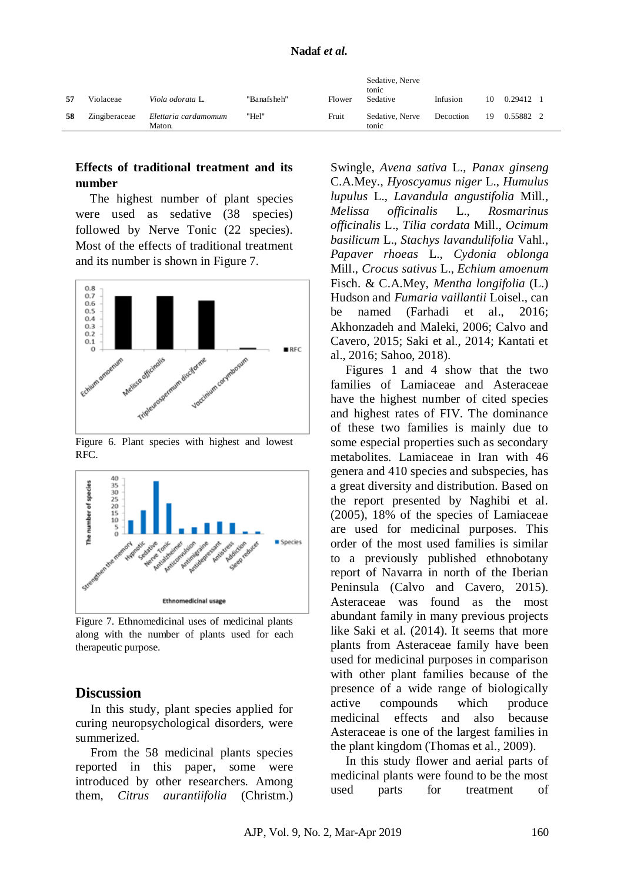| 57 | Violaceae     | Viola odorata L.               | "Banafsheh" | Flower | Sedative, Nerve<br>tonic<br>Sedative | Infusion  | 10 | 0.29412   |  |
|----|---------------|--------------------------------|-------------|--------|--------------------------------------|-----------|----|-----------|--|
| 58 | Zingiberaceae | Elettaria cardamomum<br>Maton. | "Hel"       | Fruit  | Sedative, Nerve<br>tonic             | Decoction | 19 | 0.55882 2 |  |

### **Effects of traditional treatment and its number**

The highest number of plant species were used as sedative (38 species) followed by Nerve Tonic (22 species). Most of the effects of traditional treatment and its number is shown in Figure 7.



Figure 6. Plant species with highest and lowest RFC.



Figure 7. Ethnomedicinal uses of medicinal plants along with the number of plants used for each therapeutic purpose.

#### **Discussion**

In this study, plant species applied for curing neuropsychological disorders, were summerized.

From the 58 medicinal plants species reported in this paper, some were introduced by other researchers. Among them, *Citrus aurantiifolia* (Christm.) Swingle, *Avena sativa* L., *Panax ginseng*  C.A.Mey., *Hyoscyamus niger* L., *Humulus lupulus* L., *Lavandula angustifolia* Mill., *Melissa officinalis* L., *Rosmarinus officinalis* L., *Tilia cordata* Mill., *Ocimum basilicum* L., *Stachys lavandulifolia* Vahl., *Papaver rhoeas* L., *Cydonia oblonga* Mill., *Crocus sativus* L., *Echium amoenum* Fisch. & C.A.Mey, *Mentha longifolia* (L.) Hudson and *Fumaria vaillantii* Loisel., can be named (Farhadi et al., 2016; Akhonzadeh and Maleki, 2006; Calvo and Cavero, 2015; Saki et al., 2014; Kantati et al., 2016; Sahoo, 2018).

Figures 1 and 4 show that the two families of Lamiaceae and Asteraceae have the highest number of cited species and highest rates of FIV. The dominance of these two families is mainly due to some especial properties such as secondary metabolites. Lamiaceae in Iran with 46 genera and 410 species and subspecies, has a great diversity and distribution. Based on the report presented by Naghibi et al. (2005), 18% of the species of Lamiaceae are used for medicinal purposes. This order of the most used families is similar to a previously published ethnobotany report of Navarra in north of the Iberian Peninsula (Calvo and Cavero, 2015). Asteraceae was found as the most abundant family in many previous projects like Saki et al. (2014). It seems that more plants from Asteraceae family have been used for medicinal purposes in comparison with other plant families because of the presence of a wide range of biologically active compounds which produce medicinal effects and also because Asteraceae is one of the largest families in the plant kingdom (Thomas et al., 2009).

In this study flower and aerial parts of medicinal plants were found to be the most used parts for treatment of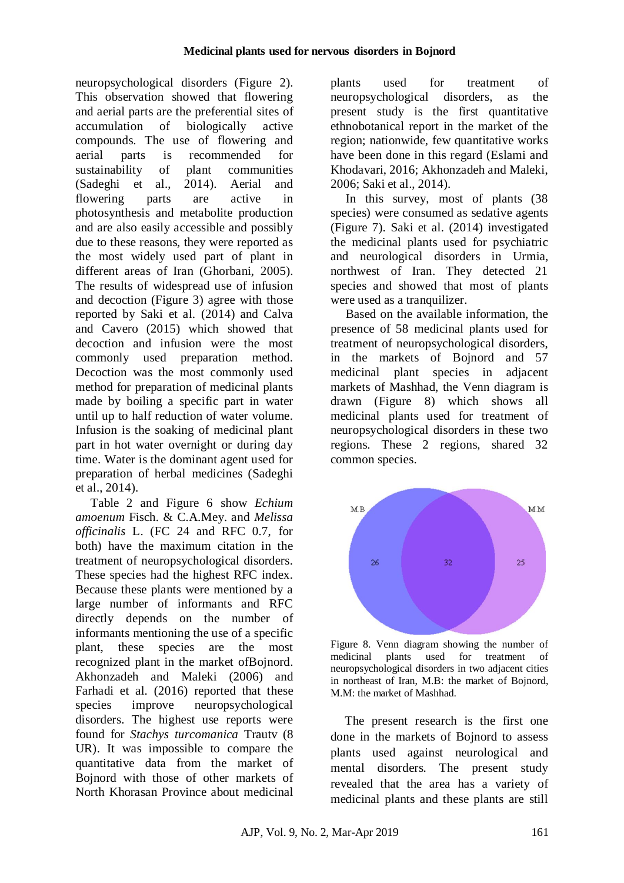neuropsychological disorders (Figure 2). This observation showed that flowering and aerial parts are the preferential sites of accumulation of biologically active compounds. The use of flowering and aerial parts is recommended for sustainability of plant communities (Sadeghi et al., 2014). Aerial and flowering parts are active in photosynthesis and metabolite production and are also easily accessible and possibly due to these reasons, they were reported as the most widely used part of plant in different areas of Iran (Ghorbani, 2005). The results of widespread use of infusion and decoction (Figure 3) agree with those reported by Saki et al. (2014) and Calva and Cavero (2015) which showed that decoction and infusion were the most commonly used preparation method. Decoction was the most commonly used method for preparation of medicinal plants made by boiling a specific part in water until up to half reduction of water volume. Infusion is the soaking of medicinal plant part in hot water overnight or during day time. Water is the dominant agent used for preparation of herbal medicines (Sadeghi et al., 2014).

Table 2 and Figure 6 show *Echium amoenum* Fisch. & C.A.Mey. and *Melissa officinalis* L. (FC 24 and RFC 0.7, for both) have the maximum citation in the treatment of neuropsychological disorders. These species had the highest RFC index. Because these plants were mentioned by a large number of informants and RFC directly depends on the number of informants mentioning the use of a specific plant, these species are the most recognized plant in the market ofBojnord. Akhonzadeh and Maleki (2006) and Farhadi et al. (2016) reported that these species improve neuropsychological disorders. The highest use reports were found for *Stachys turcomanica* Trautv (8 UR). It was impossible to compare the quantitative data from the market of Bojnord with those of other markets of North Khorasan Province about medicinal plants used for treatment of neuropsychological disorders, as the present study is the first quantitative ethnobotanical report in the market of the region; nationwide, few quantitative works have been done in this regard (Eslami and Khodavari, 2016; Akhonzadeh and Maleki, 2006; Saki et al., 2014).

In this survey, most of plants (38 species) were consumed as sedative agents (Figure 7). Saki et al. (2014) investigated the medicinal plants used for psychiatric and neurological disorders in Urmia, northwest of Iran. They detected 21 species and showed that most of plants were used as a tranquilizer.

Based on the available information, the presence of 58 medicinal plants used for treatment of neuropsychological disorders, in the markets of Bojnord and 57 medicinal plant species in adjacent markets of Mashhad, the Venn diagram is drawn (Figure 8) which shows all medicinal plants used for treatment of neuropsychological disorders in these two regions. These 2 regions, shared 32 common species.



Figure 8. Venn diagram showing the number of medicinal plants used for treatment of neuropsychological disorders in two adjacent cities in northeast of Iran, M.B: the market of Bojnord, M.M: the market of Mashhad.

The present research is the first one done in the markets of Bojnord to assess plants used against neurological and mental disorders. The present study revealed that the area has a variety of medicinal plants and these plants are still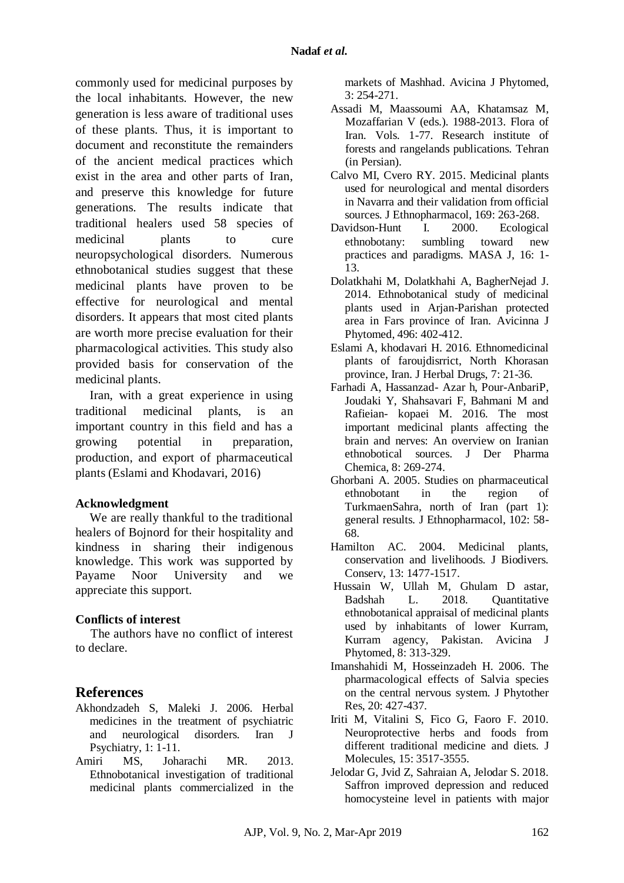commonly used for medicinal purposes by the local inhabitants. However, the new generation is less aware of traditional uses of these plants. Thus, it is important to document and reconstitute the remainders of the ancient medical practices which exist in the area and other parts of Iran, and preserve this knowledge for future generations. The results indicate that traditional healers used 58 species of medicinal plants to cure neuropsychological disorders. Numerous ethnobotanical studies suggest that these medicinal plants have proven to be effective for neurological and mental disorders. It appears that most cited plants are worth more precise evaluation for their pharmacological activities. This study also provided basis for conservation of the medicinal plants.

Iran, with a great experience in using traditional medicinal plants, is an important country in this field and has a growing potential in preparation, production, and export of pharmaceutical plants (Eslami and Khodavari, 2016)

#### **Acknowledgment**

We are really thankful to the traditional healers of Bojnord for their hospitality and kindness in sharing their indigenous knowledge. This work was supported by Payame Noor University and we appreciate this support.

# **Conflicts of interest**

The authors have no conflict of interest to declare.

# **References**

- Akhondzadeh S, Maleki J. 2006. Herbal medicines in the treatment of psychiatric<br>and neurological disorders. Iran J and neurological disorders. Iran J Psychiatry, 1: 1-11.
- Amiri MS, Joharachi MR. 2013. Ethnobotanical investigation of traditional medicinal plants commercialized in the

markets of Mashhad. Avicina J Phytomed, 3: 254-271.

- Assadi M, Maassoumi AA, Khatamsaz M, Mozaffarian V (eds.). 1988-2013. Flora of Iran. Vols. 1-77. Research institute of forests and rangelands publications. Tehran (in Persian).
- Calvo MI, Cvero RY. 2015. Medicinal plants used for neurological and mental disorders in Navarra and their validation from official sources. J Ethnopharmacol, 169: 263-268.
- Davidson-Hunt I. 2000. Ecological ethnobotany: sumbling toward new practices and paradigms. MASA J, 16: 1- 13.
- Dolatkhahi M, Dolatkhahi A, BagherNejad J. 2014. Ethnobotanical study of medicinal plants used in Arjan-Parishan protected area in Fars province of Iran. Avicinna J Phytomed, 496: 402-412.
- Eslami A, khodavari H. 2016. Ethnomedicinal plants of faroujdisrrict, North Khorasan province, Iran. J Herbal Drugs, 7: 21-36.
- Farhadi A, Hassanzad- Azar h, Pour-AnbariP, Joudaki Y, Shahsavari F, Bahmani M and Rafieian- kopaei M. 2016. The most important medicinal plants affecting the brain and nerves: An overview on Iranian ethnobotical sources. J Der Pharma Chemica, 8: 269-274.
- Ghorbani A. 2005. Studies on pharmaceutical ethnobotant in the region of TurkmaenSahra, north of Iran (part 1): general results. J Ethnopharmacol, 102: 58- 68.
- Hamilton AC. 2004. Medicinal plants, conservation and livelihoods. J Biodivers. Conserv, 13: 1477-1517.
- Hussain W, Ullah M, Ghulam D astar, Badshah L. 2018. Quantitative ethnobotanical appraisal of medicinal plants used by inhabitants of lower Kurram, Kurram agency, Pakistan. Avicina J Phytomed, 8: 313-329.
- Imanshahidi M, Hosseinzadeh H. 2006. The pharmacological effects of Salvia species on the central nervous system. J Phytother Res, 20: 427-437.
- Iriti M, Vitalini S, Fico G, Faoro F. 2010. Neuroprotective herbs and foods from different traditional medicine and diets. J Molecules, 15: 3517-3555.
- Jelodar G, Jvid Z, Sahraian A, Jelodar S. 2018. Saffron improved depression and reduced homocysteine level in patients with major